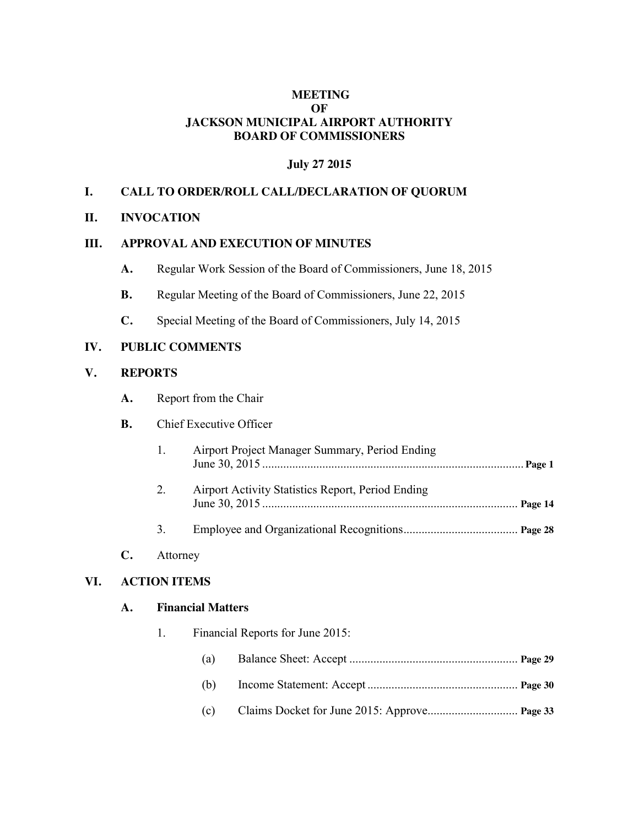# **MEETING OF JACKSON MUNICIPAL AIRPORT AUTHORITY BOARD OF COMMISSIONERS**

# **July 27 2015**

# **I. CALL TO ORDER/ROLL CALL/DECLARATION OF QUORUM**

#### **II. INVOCATION**

#### **III. APPROVAL AND EXECUTION OF MINUTES**

- **A.** Regular Work Session of the Board of Commissioners, June 18, 2015
- **B.** Regular Meeting of the Board of Commissioners, June 22, 2015
- **C.** Special Meeting of the Board of Commissioners, July 14, 2015

# **IV. PUBLIC COMMENTS**

#### **V. REPORTS**

**A.** Report from the Chair

#### **B.** Chief Executive Officer

| $\sim$ 1 | Airport Project Manager Summary, Period Ending    |  |
|----------|---------------------------------------------------|--|
| 2        | Airport Activity Statistics Report, Period Ending |  |

3. Employee and Organizational Recognitions...................................... **Page 28**

# **C.** Attorney

# **VI. ACTION ITEMS**

#### **A. Financial Matters**

| 1. |     | Financial Reports for June 2015: |  |  |  |  |
|----|-----|----------------------------------|--|--|--|--|
|    | (a) |                                  |  |  |  |  |
|    | (b) |                                  |  |  |  |  |
|    | (c) |                                  |  |  |  |  |